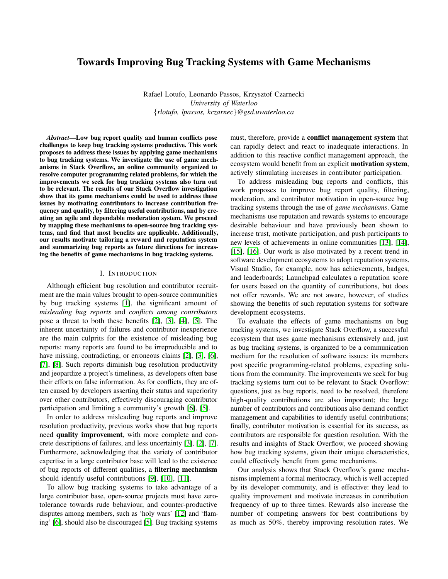# Towards Improving Bug Tracking Systems with Game Mechanisms

Rafael Lotufo, Leonardo Passos, Krzysztof Czarnecki *University of Waterloo* {*rlotufo, lpassos, kczarnec*}*@gsd.uwaterloo.ca*

*Abstract*—Low bug report quality and human conflicts pose challenges to keep bug tracking systems productive. This work proposes to address these issues by applying game mechanisms to bug tracking systems. We investigate the use of game mechanisms in Stack Overflow, an online community organized to resolve computer programming related problems, for which the improvements we seek for bug tracking systems also turn out to be relevant. The results of our Stack Overflow investigation show that its game mechanisms could be used to address these issues by motivating contributors to increase contribution frequency and quality, by filtering useful contributions, and by creating an agile and dependable moderation system. We proceed by mapping these mechanisms to open-source bug tracking systems, and find that most benefits are applicable. Additionally, our results motivate tailoring a reward and reputation system and summarizing bug reports as future directions for increasing the benefits of game mechanisms in bug tracking systems.

#### I. INTRODUCTION

Although efficient bug resolution and contributor recruitment are the main values brought to open-source communities by bug tracking systems [\[1\]](#page-9-0), the significant amount of *misleading bug reports* and *conflicts among contributors* pose a threat to both these benefits [\[2\]](#page-9-1), [\[3\]](#page-9-2), [\[4\]](#page-9-3), [\[5\]](#page-9-4). The inherent uncertainty of failures and contributor inexperience are the main culprits for the existence of misleading bug reports: many reports are found to be irreproducible and to have missing, contradicting, or erroneous claims [\[2\]](#page-9-1), [\[3\]](#page-9-2), [\[6\]](#page-9-5), [\[7\]](#page-9-6), [\[8\]](#page-9-7). Such reports diminish bug resolution productivity and jeopardize a project's timeliness, as developers often base their efforts on false information. As for conflicts, they are often caused by developers asserting their status and superiority over other contributors, effectively discouraging contributor participation and limiting a community's growth [\[6\]](#page-9-5), [\[5\]](#page-9-4).

In order to address misleading bug reports and improve resolution productivity, previous works show that bug reports need quality improvement, with more complete and concrete descriptions of failures, and less uncertainty [\[3\]](#page-9-2), [\[2\]](#page-9-1), [\[7\]](#page-9-6). Furthermore, acknowledging that the variety of contributor expertise in a large contributor base will lead to the existence of bug reports of different qualities, a filtering mechanism should identify useful contributions [\[9\]](#page-9-8), [\[10\]](#page-9-9), [\[11\]](#page-9-10).

To allow bug tracking systems to take advantage of a large contributor base, open-source projects must have zerotolerance towards rude behaviour, and counter-productive disputes among members, such as 'holy wars' [\[12\]](#page-9-11) and 'flaming' [\[6\]](#page-9-5), should also be discouraged [\[5\]](#page-9-4). Bug tracking systems

must, therefore, provide a conflict management system that can rapidly detect and react to inadequate interactions. In addition to this reactive conflict management approach, the ecosystem would benefit from an explicit motivation system, actively stimulating increases in contributor participation.

To address misleading bug reports and conflicts, this work proposes to improve bug report quality, filtering, moderation, and contributor motivation in open-source bug tracking systems through the use of *game mechanisms*. Game mechanisms use reputation and rewards systems to encourage desirable behaviour and have previously been shown to increase trust, motivate participation, and push participants to new levels of achievements in online communities [\[13\]](#page-9-12), [\[14\]](#page-9-13), [\[15\]](#page-9-14), [\[16\]](#page-9-15). Our work is also motivated by a recent trend in software development ecosystems to adopt reputation systems. Visual Studio, for example, now has achievements, badges, and leaderboards; Launchpad calculates a reputation score for users based on the quantity of contributions, but does not offer rewards. We are not aware, however, of studies showing the benefits of such reputation systems for software development ecosystems.

To evaluate the effects of game mechanisms on bug tracking systems, we investigate Stack Overflow, a successful ecosystem that uses game mechanisms extensively and, just as bug tracking systems, is organized to be a communication medium for the resolution of software issues: its members post specific programming-related problems, expecting solutions from the community. The improvements we seek for bug tracking systems turn out to be relevant to Stack Overflow: questions, just as bug reports, need to be resolved, therefore high-quality contributions are also important; the large number of contributors and contributions also demand conflict management and capabilities to identify useful contributions; finally, contributor motivation is essential for its success, as contributors are responsible for question resolution. With the results and insights of Stack Overflow, we proceed showing how bug tracking systems, given their unique characteristics, could effectively benefit from game mechanisms.

Our analysis shows that Stack Overflow's game mechanisms implement a formal meritocracy, which is well accepted by its developer community, and is effective: they lead to quality improvement and motivate increases in contribution frequency of up to three times. Rewards also increase the number of competing answers for best contributions by as much as 50%, thereby improving resolution rates. We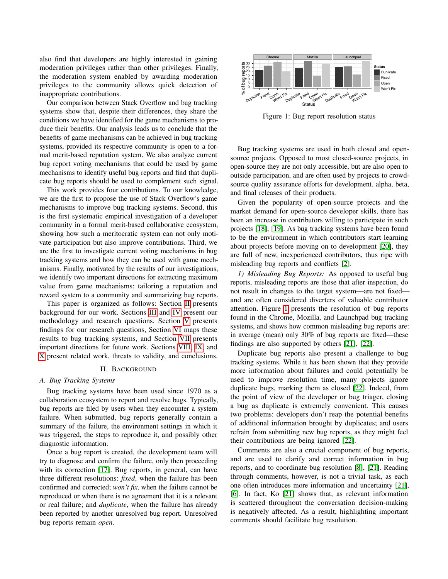also find that developers are highly interested in gaining moderation privileges rather than other privileges. Finally, the moderation system enabled by awarding moderation privileges to the community allows quick detection of inappropriate contributions.

Our comparison between Stack Overflow and bug tracking systems show that, despite their differences, they share the conditions we have identified for the game mechanisms to produce their benefits. Our analysis leads us to conclude that the benefits of game mechanisms can be achieved in bug tracking systems, provided its respective community is open to a formal merit-based reputation system. We also analyze current bug report voting mechanisms that could be used by game mechanisms to identify useful bug reports and find that duplicate bug reports should be used to complement such signal.

This work provides four contributions. To our knowledge, we are the first to propose the use of Stack Overflow's game mechanisms to improve bug tracking systems. Second, this is the first systematic empirical investigation of a developer community in a formal merit-based collaborative ecosystem, showing how such a meritocratic system can not only motivate participation but also improve contributions. Third, we are the first to investigate current voting mechanisms in bug tracking systems and how they can be used with game mechanisms. Finally, motivated by the results of our investigations, we identify two important directions for extracting maximum value from game mechanisms: tailoring a reputation and reward system to a community and summarizing bug reports.

This paper is organized as follows: Section [II](#page-1-0) presents background for our work. Sections [III](#page-3-0) and [IV](#page-3-1) present our methodology and research questions. Section [V](#page-4-0) presents findings for our research questions, Section [VI](#page-6-0) maps these results to bug tracking systems, and Section [VII](#page-8-0) presents important directions for future work. Sections [VIII,](#page-8-1) [IX,](#page-8-2) and [X](#page-9-16) present related work, threats to validity, and conclusions.

#### II. BACKGROUND

# <span id="page-1-0"></span>*A. Bug Tracking Systems*

Bug tracking systems have been used since 1970 as a collaboration ecosystem to report and resolve bugs. Typically, bug reports are filed by users when they encounter a system failure. When submitted, bug reports generally contain a summary of the failure, the environment settings in which it was triggered, the steps to reproduce it, and possibly other diagnostic information.

Once a bug report is created, the development team will try to diagnose and confirm the failure, only then proceeding with its correction [\[17\]](#page-9-17). Bug reports, in general, can have three different resolutions: *fixed*, when the failure has been confirmed and corrected; *won't fix*, when the failure cannot be reproduced or when there is no agreement that it is a relevant or real failure; and *duplicate*, when the failure has already been reported by another unresolved bug report. Unresolved bug reports remain *open*.

<span id="page-1-1"></span>

Figure 1: Bug report resolution status

Bug tracking systems are used in both closed and opensource projects. Opposed to most closed-source projects, in open-source they are not only accessible, but are also open to outside participation, and are often used by projects to crowdsource quality assurance efforts for development, alpha, beta, and final releases of their products.

Given the popularity of open-source projects and the market demand for open-source developer skills, there has been an increase in contributors willing to participate in such projects [\[18\]](#page-9-18), [\[19\]](#page-9-19). As bug tracking systems have been found to be the environment in which contributors start learning about projects before moving on to development [\[20\]](#page-9-20), they are full of new, inexperienced contributors, thus ripe with misleading bug reports and conflicts [\[2\]](#page-9-1).

*1) Misleading Bug Reports:* As opposed to useful bug reports, misleading reports are those that after inspection, do not result in changes to the target system—are not fixed and are often considered diverters of valuable contributor attention. Figure [1](#page-1-1) presents the resolution of bug reports found in the Chrome, Mozilla, and Launchpad bug tracking systems, and shows how common misleading bug reports are: in average (mean) only 30% of bug reports are fixed—these findings are also supported by others [\[21\]](#page-9-21), [\[22\]](#page-9-22).

Duplicate bug reports also present a challenge to bug tracking systems. While it has been shown that they provide more information about failures and could potentially be used to improve resolution time, many projects ignore duplicate bugs, marking them as closed [\[22\]](#page-9-22). Indeed, from the point of view of the developer or bug triager, closing a bug as duplicate is extremely convenient. This causes two problems: developers don't reap the potential benefits of additional information brought by duplicates; and users refrain from submitting new bug reports, as they might feel their contributions are being ignored [\[22\]](#page-9-22).

Comments are also a crucial component of bug reports, and are used to clarify and correct information in bug reports, and to coordinate bug resolution [\[8\]](#page-9-7), [\[21\]](#page-9-21). Reading through comments, however, is not a trivial task, as each one often introduces more information and uncertainty [\[21\]](#page-9-21), [\[6\]](#page-9-5). In fact, Ko [\[21\]](#page-9-21) shows that, as relevant information is scattered throughout the conversation decision-making is negatively affected. As a result, highlighting important comments should facilitate bug resolution.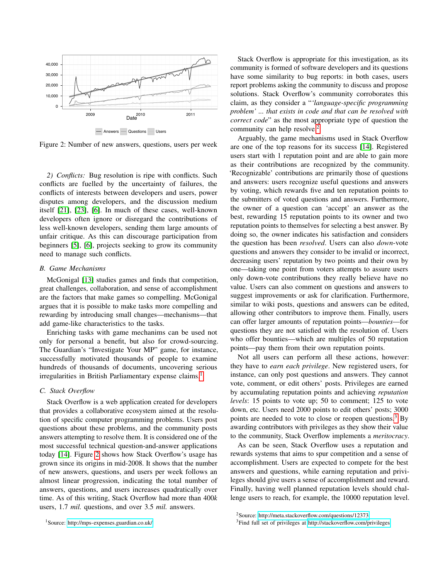<span id="page-2-1"></span>

Figure 2: Number of new answers, questions, users per week

*2) Conflicts:* Bug resolution is ripe with conflicts. Such conflicts are fuelled by the uncertainty of failures, the conflicts of interests between developers and users, power disputes among developers, and the discussion medium itself [\[21\]](#page-9-21), [\[23\]](#page-9-23), [\[6\]](#page-9-5). In much of these cases, well-known developers often ignore or disregard the contributions of less well-known developers, sending them large amounts of unfair critique. As this can discourage participation from beginners [\[5\]](#page-9-4), [\[6\]](#page-9-5), projects seeking to grow its community need to manage such conflicts.

#### *B. Game Mechanisms*

McGonigal [\[13\]](#page-9-12) studies games and finds that competition, great challenges, collaboration, and sense of accomplishment are the factors that make games so compelling. McGonigal argues that it is possible to make tasks more compelling and rewarding by introducing small changes—mechanisms—that add game-like characteristics to the tasks.

Enriching tasks with game mechanims can be used not only for personal a benefit, but also for crowd-sourcing. The Guardian's "Investigate Your MP" game, for instance, successfully motivated thousands of people to examine hundreds of thousands of documents, uncovering serious irregularities in British Parliamentary expense claims.<sup>[1](#page-2-0)</sup>

#### *C. Stack Overflow*

Stack Overflow is a web application created for developers that provides a collaborative ecosystem aimed at the resolution of specific computer programming problems. Users post questions about these problems, and the community posts answers attempting to resolve them. It is considered one of the most successful technical question-and-answer applications today [\[14\]](#page-9-13). Figure [2](#page-2-1) shows how Stack Overflow's usage has grown since its origins in mid-2008. It shows that the number of new answers, questions, and users per week follows an almost linear progression, indicating the total number of answers, questions, and users increases quadratically over time. As of this writing, Stack Overflow had more than 400*k* users, 1.7 *mil.* questions, and over 3.5 *mil.* answers.

Stack Overflow is appropriate for this investigation, as its community is formed of software developers and its questions have some similarity to bug reports: in both cases, users report problems asking the community to discuss and propose solutions. Stack Overflow's community corroborates this claim, as they consider a "*'language-specific programming problem' ... that exists in code and that can be resolved with correct code*" as the most appropriate type of question the community can help resolve.<sup>[2](#page-2-2)</sup>

Arguably, the game mechanisms used in Stack Overflow are one of the top reasons for its success [\[14\]](#page-9-13). Registered users start with 1 reputation point and are able to gain more as their contributions are recognized by the community. 'Recognizable' contributions are primarily those of questions and answers: users recognize useful questions and answers by voting, which rewards five and ten reputation points to the submitters of voted questions and answers. Furthermore, the owner of a question can 'accept' an answer as the best, rewarding 15 reputation points to its owner and two reputation points to themselves for selecting a best answer. By doing so, the owner indicates his satisfaction and considers the question has been *resolved*. Users can also *down*-vote questions and answers they consider to be invalid or incorrect, decreasing users' reputation by two points and their own by one—taking one point from voters attempts to assure users only down-vote contributions they really believe have no value. Users can also comment on questions and answers to suggest improvements or ask for clarification. Furthermore, similar to wiki posts, questions and answers can be edited, allowing other contributors to improve them. Finally, users can offer larger amounts of reputation points—*bounties*—for questions they are not satisfied with the resolution of. Users who offer bounties—which are multiples of 50 reputation points—pay them from their own reputation points.

Not all users can perform all these actions, however: they have to *earn each privilege*. New registered users, for instance, can only post questions and answers. They cannot vote, comment, or edit others' posts. Privileges are earned by accumulating reputation points and achieving *reputation levels*: 15 points to vote up; 50 to comment; 125 to vote down, etc. Users need 2000 points to edit others' posts; 3000 points are needed to vote to close or reopen questions.<sup>[3](#page-2-3)</sup> By awarding contributors with privileges as they show their value to the community, Stack Overflow implements a *meritocracy*.

As can be seen, Stack Overflow uses a reputation and rewards systems that aims to spur competition and a sense of accomplishment. Users are expected to compete for the best answers and questions, while earning reputation and privileges should give users a sense of accomplishment and reward. Finally, having well planned reputation levels should challenge users to reach, for example, the 10000 reputation level.

<span id="page-2-0"></span><sup>1</sup>Source:<http://mps-expenses.guardian.co.uk/>

<span id="page-2-2"></span><sup>2</sup>Source:<http://meta.stackoverflow.com/questions/12373>

<span id="page-2-3"></span><sup>3</sup>Find full set of privileges at<http://stackoverflow.com/privileges>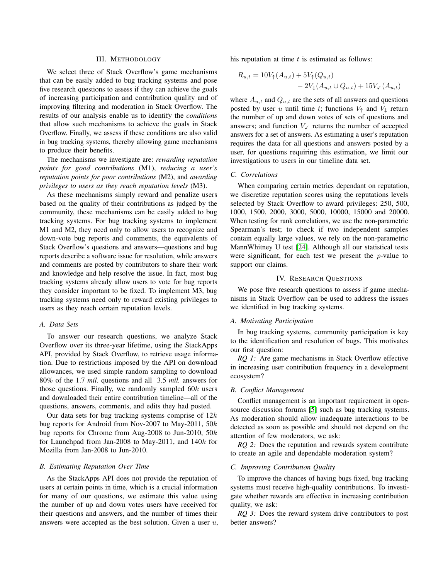#### III. METHODOLOGY

<span id="page-3-0"></span>We select three of Stack Overflow's game mechanisms that can be easily added to bug tracking systems and pose five research questions to assess if they can achieve the goals of increasing participation and contribution quality and of improving filtering and moderation in Stack Overflow. The results of our analysis enable us to identify the *conditions* that allow such mechanisms to achieve the goals in Stack Overflow. Finally, we assess if these conditions are also valid in bug tracking systems, thereby allowing game mechanisms to produce their benefits.

The mechanisms we investigate are: *rewarding reputation points for good contributions* (M1), *reducing a user's reputation points for poor contributions* (M2), and *awarding privileges to users as they reach reputation levels* (M3).

As these mechanisms simply reward and penalize users based on the quality of their contributions as judged by the community, these mechanisms can be easily added to bug tracking systems. For bug tracking systems to implement M1 and M2, they need only to allow users to recognize and down-vote bug reports and comments, the equivalents of Stack Overflow's questions and answers—questions and bug reports describe a software issue for resolution, while answers and comments are posted by contributors to share their work and knowledge and help resolve the issue. In fact, most bug tracking systems already allow users to vote for bug reports they consider important to be fixed. To implement M3, bug tracking systems need only to reward existing privileges to users as they reach certain reputation levels.

#### *A. Data Sets*

To answer our research questions, we analyze Stack Overflow over its three-year lifetime, using the StackApps API, provided by Stack Overflow, to retrieve usage information. Due to restrictions imposed by the API on download allowances, we used simple random sampling to download 80% of the 1.7 *mil.* questions and all 3.5 *mil.* answers for those questions. Finally, we randomly sampled  $60k$  users and downloaded their entire contribution timeline—all of the questions, answers, comments, and edits they had posted.

Our data sets for bug tracking systems comprise of  $12k$ bug reports for Android from Nov-2007 to May-2011, 50k bug reports for Chrome from Aug-2008 to Jun-2010, 50k for Launchpad from Jan-2008 to May-2011, and 140k for Mozilla from Jan-2008 to Jun-2010.

#### *B. Estimating Reputation Over Time*

As the StackApps API does not provide the reputation of users at certain points in time, which is a crucial information for many of our questions, we estimate this value using the number of up and down votes users have received for their questions and answers, and the number of times their answers were accepted as the best solution. Given a user  $u$ , his reputation at time  $t$  is estimated as follows:

$$
R_{u,t} = 10V_{\uparrow}(A_{u,t}) + 5V_{\uparrow}(Q_{u,t}) - 2V_{\downarrow}(A_{u,t} \cup Q_{u,t}) + 15V_{\checkmark}(A_{u,t})
$$

where  $A_{u,t}$  and  $Q_{u,t}$  are the sets of all answers and questions posted by user u until time t; functions  $V_{\uparrow}$  and  $V_{\downarrow}$  return the number of up and down votes of sets of questions and answers; and function  $V_{\checkmark}$  returns the number of accepted answers for a set of answers. As estimating a user's reputation requires the data for all questions and answers posted by a user, for questions requiring this estimation, we limit our investigations to users in our timeline data set.

#### *C. Correlations*

When comparing certain metrics dependant on reputation, we discretize reputation scores using the reputations levels selected by Stack Overflow to award privileges: 250, 500, 1000, 1500, 2000, 3000, 5000, 10000, 15000 and 20000. When testing for rank correlations, we use the non-parametric Spearman's test; to check if two independent samples contain equally large values, we rely on the non-parametric MannWhitney U test [\[24\]](#page-9-24). Although all our statistical tests were significant, for each test we present the  $p$ -value to support our claims.

#### IV. RESEARCH QUESTIONS

<span id="page-3-1"></span>We pose five research questions to assess if game mechanisms in Stack Overflow can be used to address the issues we identified in bug tracking systems.

## *A. Motivating Participation*

In bug tracking systems, community participation is key to the identification and resolution of bugs. This motivates our first question:

<span id="page-3-2"></span>*RQ 1:* Are game mechanisms in Stack Overflow effective in increasing user contribution frequency in a development ecosystem?

#### <span id="page-3-4"></span>*B. Conflict Management*

Conflict management is an important requirement in opensource discussion forums [\[5\]](#page-9-4) such as bug tracking systems. As moderation should allow inadequate interactions to be detected as soon as possible and should not depend on the attention of few moderators, we ask:

<span id="page-3-3"></span>*RQ 2:* Does the reputation and rewards system contribute to create an agile and dependable moderation system?

#### *C. Improving Contribution Quality*

To improve the chances of having bugs fixed, bug tracking systems must receive high-quality contributions. To investigate whether rewards are effective in increasing contribution quality, we ask:

<span id="page-3-5"></span>*RQ 3:* Does the reward system drive contributors to post better answers?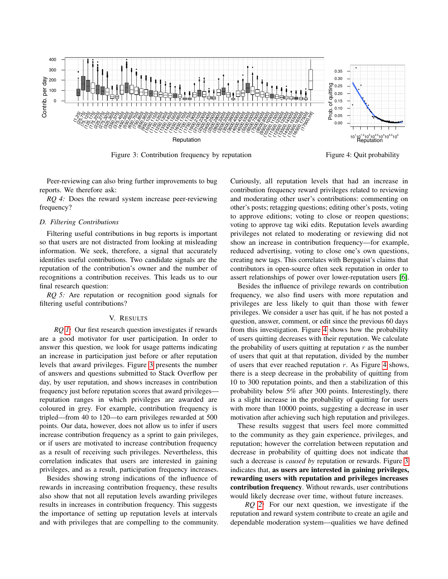<span id="page-4-1"></span>

Figure 3: Contribution frequency by reputation

Figure 4: Quit probability

Peer-reviewing can also bring further improvements to bug reports. We therefore ask:

<span id="page-4-2"></span>*RQ 4:* Does the reward system increase peer-reviewing frequency?

#### *D. Filtering Contributions*

Filtering useful contributions in bug reports is important so that users are not distracted from looking at misleading information. We seek, therefore, a signal that accurately identifies useful contributions. Two candidate signals are the reputation of the contribution's owner and the number of recognitions a contribution receives. This leads us to our final research question:

<span id="page-4-3"></span>*RQ 5:* Are reputation or recognition good signals for filtering useful contributions?

#### V. RESULTS

<span id="page-4-0"></span>*RQ [1:](#page-3-2)* Our first research question investigates if rewards are a good motivator for user participation. In order to answer this question, we look for usage patterns indicating an increase in participation just before or after reputation levels that award privileges. Figure [3](#page-4-1) presents the number of answers and questions submitted to Stack Overflow per day, by user reputation, and shows increases in contribution frequency just before reputation scores that award privileges reputation ranges in which privileges are awarded are coloured in grey. For example, contribution frequency is tripled—from 40 to 120—to earn privileges rewarded at 500 points. Our data, however, does not allow us to infer if users increase contribution frequency as a sprint to gain privileges, or if users are motivated to increase contribution frequency as a result of receiving such privileges. Nevertheless, this correlation indicates that users are interested in gaining privileges, and as a result, participation frequency increases.

Besides showing strong indications of the influence of rewards in increasing contribution frequency, these results also show that not all reputation levels awarding privileges results in increases in contribution frequency. This suggests the importance of setting up reputation levels at intervals and with privileges that are compelling to the community. Curiously, all reputation levels that had an increase in contribution frequency reward privileges related to reviewing and moderating other user's contributions: commenting on other's posts; retagging questions; editing other's posts, voting to approve editions; voting to close or reopen questions; voting to approve tag wiki edits. Reputation levels awarding privileges not related to moderating or reviewing did not show an increase in contribution frequency—for example, reduced advertising, voting to close one's own questions, creating new tags. This correlates with Bergquist's claims that contributors in open-source often seek reputation in order to assert relationships of power over lower-reputation users [\[6\]](#page-9-5).

Besides the influence of privilege rewards on contribution frequency, we also find users with more reputation and privileges are less likely to quit than those with fewer privileges. We consider a user has quit, if he has not posted a question, answer, comment, or edit since the previous 60 days from this investigation. Figure [4](#page-4-1) shows how the probability of users quitting decreases with their reputation. We calculate the probability of users quitting at reputation  $r$  as the number of users that quit at that reputation, divided by the number of users that ever reached reputation  $r$ . As Figure [4](#page-4-1) shows, there is a steep decrease in the probability of quitting from 10 to 300 reputation points, and then a stabilization of this probability below 5% after 300 points. Interestingly, there is a slight increase in the probability of quitting for users with more than 10000 points, suggesting a decrease in user motivation after achieving such high reputation and privileges.

These results suggest that users feel more committed to the community as they gain experience, privileges, and reputation; however the correlation between reputation and decrease in probability of quitting does not indicate that such a decrease is *caused by* reputation or rewards. Figure [3](#page-4-1) indicates that, as users are interested in gaining privileges, rewarding users with reputation and privileges increases contribution frequency. Without rewards, user contributions would likely decrease over time, without future increases.

*RQ [2:](#page-3-3)* For our next question, we investigate if the reputation and reward system contribute to create an agile and dependable moderation system—qualities we have defined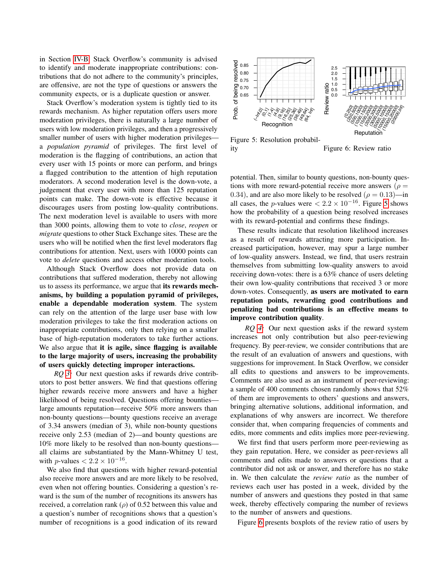in Section [IV-B.](#page-3-4) Stack Overflow's community is advised to identify and moderate inappropriate contributions: contributions that do not adhere to the community's principles, are offensive, are not the type of questions or answers the community expects, or is a duplicate question or answer.

Stack Overflow's moderation system is tightly tied to its rewards mechanism. As higher reputation offers users more moderation privileges, there is naturally a large number of users with low moderation privileges, and then a progressively smaller number of users with higher moderation privileges a *population pyramid* of privileges. The first level of moderation is the flagging of contributions, an action that every user with 15 points or more can perform, and brings a flagged contribution to the attention of high reputation moderators. A second moderation level is the down-vote, a judgement that every user with more than 125 reputation points can make. The down-vote is effective because it discourages users from posting low-quality contributions. The next moderation level is available to users with more than 3000 points, allowing them to vote to *close*, *reopen* or *migrate* questions to other Stack Exchange sites. These are the users who will be notified when the first level moderators flag contributions for attention. Next, users with 10000 points can vote to *delete* questions and access other moderation tools.

Although Stack Overflow does not provide data on contributions that suffered moderation, thereby not allowing us to assess its performance, we argue that its rewards mechanisms, by building a population pyramid of privileges, enable a dependable moderation system. The system can rely on the attention of the large user base with low moderation privileges to take the first moderation actions on inappropriate contributions, only then relying on a smaller base of high-reputation moderators to take further actions. We also argue that it is agile, since flagging is available to the large majority of users, increasing the probability of users quickly detecting improper interactions.

*RQ [3:](#page-3-5)* Our next question asks if rewards drive contributors to post better answers. We find that questions offering higher rewards receive more answers and have a higher likelihood of being resolved. Questions offering bounties large amounts reputation—receive 50% more answers than non-bounty questions—bounty questions receive an average of 3.34 answers (median of 3), while non-bounty questions receive only 2.53 (median of 2)—and bounty questions are 10% more likely to be resolved than non-bounty questions all claims are substantiated by the Mann-Whitney U test, with *p*-values  $< 2.2 \times 10^{-16}$ .

We also find that questions with higher reward-potential also receive more answers and are more likely to be resolved, even when not offering bounties. Considering a question's reward is the sum of the number of recognitions its answers has received, a correlation rank  $(\rho)$  of 0.52 between this value and a question's number of recognitions shows that a question's number of recognitions is a good indication of its reward

<span id="page-5-0"></span>

Figure 5: Resolution probability Figure 6: Review ratio

potential. Then, similar to bounty questions, non-bounty questions with more reward-potential receive more answers ( $\rho =$ 0.34), and are also more likely to be resolved ( $\rho = 0.13$ )—in all cases, the *p*-values were  $\langle 2.2 \times 10^{-16}$ . Figure [5](#page-5-0) shows how the probability of a question being resolved increases with its reward-potential and confirms these findings.

These results indicate that resolution likelihood increases as a result of rewards attracting more participation. Increased participation, however, may spur a large number of low-quality answers. Instead, we find, that users restrain themselves from submitting low-quality answers to avoid receiving down-votes: there is a 63% chance of users deleting their own low-quality contributions that received 3 or more down-votes. Consequently, as users are motivated to earn reputation points, rewarding good contributions and penalizing bad contributions is an effective means to improve contribution quality.

*RQ [4:](#page-4-2)* Our next question asks if the reward system increases not only contribution but also peer-reviewing frequency. By peer-review, we consider contributions that are the result of an evaluation of answers and questions, with suggestions for improvement. In Stack Overflow, we consider all edits to questions and answers to be improvements. Comments are also used as an instrument of peer-reviewing: a sample of 400 comments chosen randomly shows that 52% of them are improvements to others' questions and answers, bringing alternative solutions, additional information, and explanations of why answers are incorrect. We therefore consider that, when comparing frequencies of comments and edits, more comments and edits implies more peer-reviewing.

We first find that users perform more peer-reviewing as they gain reputation. Here, we consider as peer-reviews all comments and edits made to answers or questions that a contributor did not ask or answer, and therefore has no stake in. We then calculate the *review ratio* as the number of reviews each user has posted in a week, divided by the number of answers and questions they posted in that same week, thereby effectively comparing the number of reviews to the number of answers and questions.

Figure [6](#page-5-0) presents boxplots of the review ratio of users by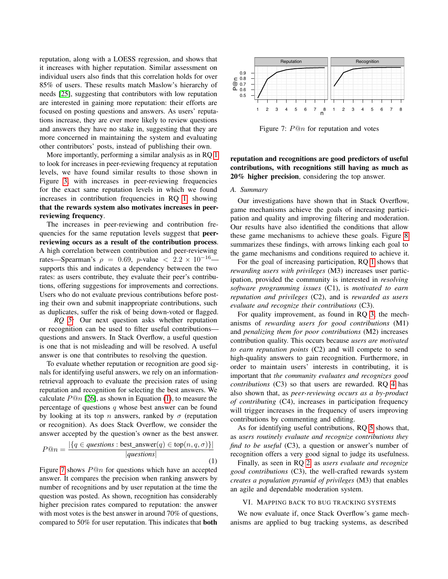reputation, along with a LOESS regression, and shows that it increases with higher reputation. Similar assessment on individual users also finds that this correlation holds for over 85% of users. These results match Maslow's hierarchy of needs [\[25\]](#page-9-25), suggesting that contributors with low reputation are interested in gaining more reputation: their efforts are focused on posting questions and answers. As users' reputations increase, they are ever more likely to review questions and answers they have no stake in, suggesting that they are more concerned in maintaining the system and evaluating other contributors' posts, instead of publishing their own.

More importantly, performing a similar analysis as in RQ [1](#page-3-2) to look for increases in peer-reviewing frequency at reputation levels, we have found similar results to those shown in Figure [3,](#page-4-1) with increases in peer-reviewing frequencies for the exact same reputation levels in which we found increases in contribution frequencies in RQ [1,](#page-3-2) showing that the rewards system also motivates increases in peerreviewing frequency.

The increases in peer-reviewing and contribution frequencies for the same reputation levels suggest that peerreviewing occurs as a result of the contribution process. A high correlation between contribution and peer-reviewing rates—Spearman's  $\rho = 0.69$ , *p*-value  $\langle 2.2 \times 10^{-16} \rangle$ supports this and indicates a dependency between the two rates: as users contribute, they evaluate their peer's contributions, offering suggestions for improvements and corrections. Users who do not evaluate previous contributions before posting their own and submit inappropriate contributions, such as duplicates, suffer the risk of being down-voted or flagged.

*RQ [5:](#page-4-3)* Our next question asks whether reputation or recognition can be used to filter useful contributions questions and answers. In Stack Overflow, a useful question is one that is not misleading and will be resolved. A useful answer is one that contributes to resolving the question.

To evaluate whether reputation or recognition are good signals for identifying useful answers, we rely on an informationretrieval approach to evaluate the precision rates of using reputation and recognition for selecting the best answers. We calculate  $P@n$  [\[26\]](#page-9-26), as shown in Equation [\(1\)](#page-6-1), to measure the percentage of questions  $q$  whose best answer can be found by looking at its top n answers, ranked by  $\sigma$  (reputation or recognition). As does Stack Overflow, we consider the answer accepted by the question's owner as the best answer.

<span id="page-6-1"></span>
$$
P@n = \frac{|\{q \in questions : best\_answer(q) \in top(n, q, \sigma)\}|}{|questions|} \tag{1}
$$

Figure [7](#page-6-2) shows  $P@n$  for questions which have an accepted answer. It compares the precision when ranking answers by number of recognitions and by user reputation at the time the question was posted. As shown, recognition has considerably higher precision rates compared to reputation: the answer with most votes is the best answer in around 70% of questions, compared to 50% for user reputation. This indicates that both

<span id="page-6-2"></span>

Figure 7:  $P@n$  for reputation and votes

reputation and recognitions are good predictors of useful contributions, with recognitions still having as much as 20% higher precision, considering the top answer.

## *A. Summary*

Our investigations have shown that in Stack Overflow, game mechanisms achieve the goals of increasing participation and quality and improving filtering and moderation. Our results have also identified the conditions that allow these game mechanisms to achieve these goals. Figure [8](#page-7-0) summarizes these findings, with arrows linking each goal to the game mechanisms and conditions required to achieve it.

For the goal of increasing participation, RQ [1](#page-3-2) shows that *rewarding users with privileges* (M3) increases user participation, provided the community is interested in *resolving software programming issues* (C1), is *motivated to earn reputation and privileges* (C2), and is *rewarded as users evaluate and recognize their contributions* (C3).

For quality improvement, as found in RQ [3,](#page-3-5) the mechanisms of *rewarding users for good contributions* (M1) and *penalizing them for poor contributions* (M2) increases contribution quality. This occurs because *users are motivated to earn reputation points* (C2) and will compete to send high-quality answers to gain recognition. Furthermore, in order to maintain users' interests in contributing, it is important that *the community evaluates and recognizes good contributions* (C3) so that users are rewarded. RQ [4](#page-4-2) has also shown that, as *peer-reviewing occurs as a by-product of contributing* (C4), increases in participation frequency will trigger increases in the frequency of users improving contributions by commenting and editing.

As for identifying useful contributions, RQ [5](#page-4-3) shows that, as *users routinely evaluate and recognize contributions they find to be useful* (C3), a question or answer's number of recognition offers a very good signal to judge its usefulness.

Finally, as seen in RQ [2,](#page-3-3) as *users evaluate and recognize good contributions* (C3), the well-crafted rewards system *creates a population pyramid of privileges* (M3) that enables an agile and dependable moderation system.

#### <span id="page-6-0"></span>VI. MAPPING BACK TO BUG TRACKING SYSTEMS

We now evaluate if, once Stack Overflow's game mechanisms are applied to bug tracking systems, as described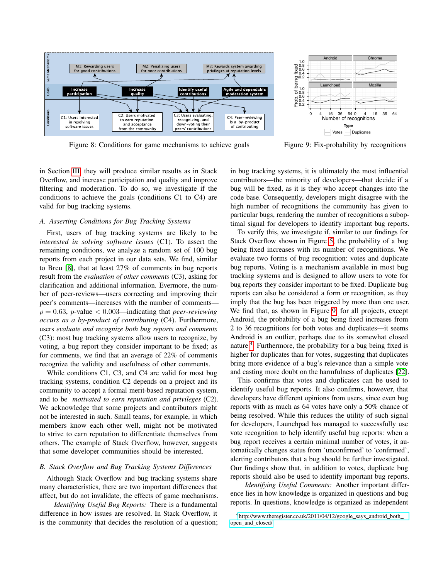<span id="page-7-0"></span>

Figure 8: Conditions for game mechanisms to achieve goals



Figure 9: Fix-probability by recognitions

in Section [III,](#page-3-0) they will produce similar results as in Stack Overflow, and increase participation and quality and improve filtering and moderation. To do so, we investigate if the conditions to achieve the goals (conditions C1 to C4) are valid for bug tracking systems.

## *A. Asserting Conditions for Bug Tracking Systems*

First, users of bug tracking systems are likely to be *interested in solving software issues* (C1). To assert the remaining conditions, we analyze a random set of 100 bug reports from each project in our data sets. We find, similar to Breu [\[8\]](#page-9-7), that at least 27% of comments in bug reports result from the *evaluation of other comments* (C3), asking for clarification and additional information. Evermore, the number of peer-reviews—users correcting and improving their peer's comments—increases with the number of comments—  $\rho = 0.63$ , *p*-value  $< 0.003$ —indicating that *peer-reviewing occurs as a by-product of contributing* (C4). Furthermore, users *evaluate and recognize both bug reports and comments* (C3): most bug tracking systems allow users to recognize, by voting, a bug report they consider important to be fixed; as for comments, we find that an average of 22% of comments recognize the validity and usefulness of other comments.

While conditions C1, C3, and C4 are valid for most bug tracking systems, condition C2 depends on a project and its community to accept a formal merit-based reputation system, and to be *motivated to earn reputation and privileges* (C2). We acknowledge that some projects and contributors might not be interested in such. Small teams, for example, in which members know each other well, might not be motivated to strive to earn reputation to differentiate themselves from others. The example of Stack Overflow, however, suggests that some developer communities should be interested.

## *B. Stack Overflow and Bug Tracking Systems Differences*

Although Stack Overflow and bug tracking systems share many characteristics, there are two important differences that affect, but do not invalidate, the effects of game mechanisms.

<span id="page-7-2"></span>*Identifying Useful Bug Reports:* There is a fundamental difference in how issues are resolved. In Stack Overflow, it is the community that decides the resolution of a question; in bug tracking systems, it is ultimately the most influential contributors—the minority of developers—that decide if a bug will be fixed, as it is they who accept changes into the code base. Consequently, developers might disagree with the high number of recognitions the community has given to particular bugs, rendering the number of recognitions a suboptimal signal for developers to identify important bug reports.

To verify this, we investigate if, similar to our findings for Stack Overflow shown in Figure [5,](#page-5-0) the probability of a bug being fixed increases with its number of recognitions. We evaluate two forms of bug recognition: votes and duplicate bug reports. Voting is a mechanism available in most bug tracking systems and is designed to allow users to vote for bug reports they consider important to be fixed. Duplicate bug reports can also be considered a form or recognition, as they imply that the bug has been triggered by more than one user. We find that, as shown in Figure [9,](#page-7-0) for all projects, except Android, the probability of a bug being fixed increases from 2 to 36 recognitions for both votes and duplicates—it seems Android is an outlier, perhaps due to its somewhat closed nature.<sup>[4](#page-7-1)</sup>. Furthermore, the probability for a bug being fixed is higher for duplicates than for votes, suggesting that duplicates bring more evidence of a bug's relevance than a simple vote and casting more doubt on the harmfulness of duplicates [\[22\]](#page-9-22).

This confirms that votes and duplicates can be used to identify useful bug reports. It also confirms, however, that developers have different opinions from users, since even bug reports with as much as 64 votes have only a 50% chance of being resolved. While this reduces the utility of such signal for developers, Launchpad has managed to successfully use vote recognition to help identify useful bug reports: when a bug report receives a certain minimal number of votes, it automatically changes status from 'unconfirmed' to 'confirmed', alerting contributors that a bug should be further investigated. Our findings show that, in addition to votes, duplicate bug reports should also be used to identify important bug reports.

*Identifying Useful Comments:* Another important difference lies in how knowledge is organized in questions and bug reports. In questions, knowledge is organized as independent

<span id="page-7-1"></span><sup>&</sup>lt;sup>4</sup>[http://www.theregister.co.uk/2011/04/12/google](http://www.theregister.co.uk/2011/04/12/google_says_android_both_open_and_closed/)\_says\_android\_both\_ open\_and\_[closed/](http://www.theregister.co.uk/2011/04/12/google_says_android_both_open_and_closed/)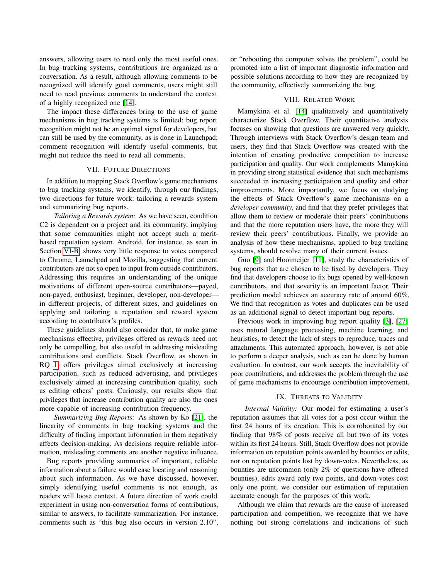answers, allowing users to read only the most useful ones. In bug tracking systems, contributions are organized as a conversation. As a result, although allowing comments to be recognized will identify good comments, users might still need to read previous comments to understand the context of a highly recognized one [\[14\]](#page-9-13).

The impact these differences bring to the use of game mechanisms in bug tracking systems is limited: bug report recognition might not be an optimal signal for developers, but can still be used by the community, as is done in Launchpad; comment recognition will identify useful comments, but might not reduce the need to read all comments.

#### VII. FUTURE DIRECTIONS

<span id="page-8-0"></span>In addition to mapping Stack Overflow's game mechanisms to bug tracking systems, we identify, through our findings, two directions for future work: tailoring a rewards system and summarizing bug reports.

*Tailoring a Rewards system:* As we have seen, condition C2 is dependent on a project and its community, implying that some communities might not accept such a meritbased reputation system. Android, for instance, as seen in Section [VI-B,](#page-7-2) shows very little response to votes compared to Chrome, Launchpad and Mozilla, suggesting that current contributors are not so open to input from outside contributors. Addressing this requires an understanding of the unique motivations of different open-source contributors—payed, non-payed, enthusiast, beginner, developer, non-developer in different projects, of different sizes, and guidelines on applying and tailoring a reputation and reward system according to contributor's profiles.

These guidelines should also consider that, to make game mechanisms effective, privileges offered as rewards need not only be compelling, but also useful in addressing misleading contributions and conflicts. Stack Overflow, as shown in RQ [1,](#page-3-2) offers privileges aimed exclusively at increasing participation, such as reduced advertising, and privileges exclusively aimed at increasing contribution quality, such as editing others' posts. Curiously, our results show that privileges that increase contribution quality are also the ones more capable of increasing contribution frequency.

*Summarizing Bug Reports:* As shown by Ko [\[21\]](#page-9-21), the linearity of comments in bug tracking systems and the difficulty of finding important information in them negatively affects decision-making. As decisions require reliable information, misleading comments are another negative influence.

Bug reports providing summaries of important, reliable information about a failure would ease locating and reasoning about such information. As we have discussed, however, simply identifying useful comments is not enough, as readers will loose context. A future direction of work could experiment in using non-conversation forms of contributions, similar to answers, to facilitate summarization. For instance, comments such as "this bug also occurs in version 2.10",

or "rebooting the computer solves the problem", could be promoted into a list of important diagnostic information and possible solutions according to how they are recognized by the community, effectively summarizing the bug.

#### VIII. RELATED WORK

<span id="page-8-1"></span>Mamykina et al. [\[14\]](#page-9-13) qualitatively and quantitatively characterize Stack Overflow. Their quantitative analysis focuses on showing that questions are answered very quickly. Through interviews with Stack Overflow's design team and users, they find that Stack Overflow was created with the intention of creating productive competition to increase participation and quality. Our work complements Mamykina in providing strong statistical evidence that such mechanisms succeeded in increasing participation and quality and other improvements. More importantly, we focus on studying the effects of Stack Overflow's game mechanisms on a *developer community*, and find that they prefer privileges that allow them to review or moderate their peers' contributions and that the more reputation users have, the more they will review their peers' contributions. Finally, we provide an analysis of how these mechanisms, applied to bug tracking systems, should resolve many of their current issues.

Guo [\[9\]](#page-9-8) and Hooimeijer [\[11\]](#page-9-10), study the characteristics of bug reports that are chosen to be fixed by developers. They find that developers choose to fix bugs opened by well-known contributors, and that severity is an important factor. Their prediction model achieves an accuracy rate of around 60%. We find that recognition as votes and duplicates can be used as an additional signal to detect important bug reports.

Previous work in improving bug report quality [\[3\]](#page-9-2), [\[27\]](#page-9-27) uses natural language processing, machine learning, and heuristics, to detect the lack of steps to reproduce, traces and attachments. This automated approach, however, is not able to perform a deeper analysis, such as can be done by human evaluation. In contrast, our work accepts the inevitability of poor contributions, and addresses the problem through the use of game mechanisms to encourage contribution improvement.

## IX. THREATS TO VALIDITY

<span id="page-8-2"></span>*Internal Validity:* Our model for estimating a user's reputation assumes that all votes for a post occur within the first 24 hours of its creation. This is corroborated by our finding that 98% of posts receive all but two of its votes within its first 24 hours. Still, Stack Overflow does not provide information on reputation points awarded by bounties or edits, nor on reputation points lost by down-votes. Nevertheless, as bounties are uncommon (only 2% of questions have offered bounties), edits award only two points, and down-votes cost only one point, we consider our estimation of reputation accurate enough for the purposes of this work.

Although we claim that rewards are the cause of increased participation and competition, we recognize that we have nothing but strong correlations and indications of such